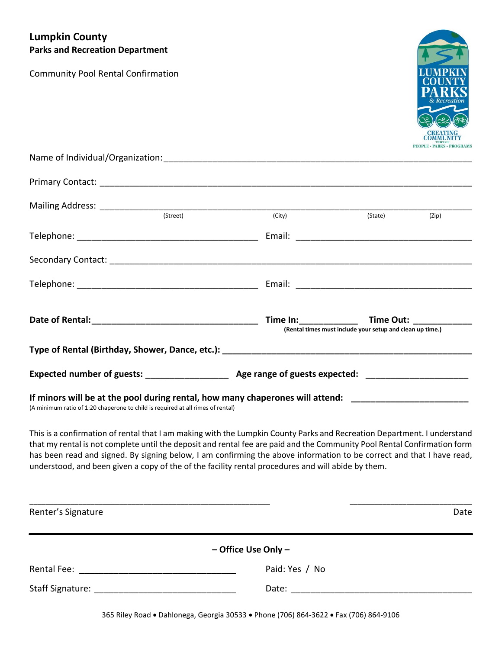# **Lumpkin County Parks and Recreation Department**

Community Pool Rental Confirmation



| (Street)                                                                                                                                                                                      |        |                                                           |       |  |
|-----------------------------------------------------------------------------------------------------------------------------------------------------------------------------------------------|--------|-----------------------------------------------------------|-------|--|
|                                                                                                                                                                                               | (City) | (State)                                                   | (Zip) |  |
|                                                                                                                                                                                               |        |                                                           |       |  |
|                                                                                                                                                                                               |        |                                                           |       |  |
|                                                                                                                                                                                               |        | (Rental times must include your setup and clean up time.) |       |  |
|                                                                                                                                                                                               |        |                                                           |       |  |
| Expected number of guests: _____________________ Age range of guests expected: _____________________                                                                                          |        |                                                           |       |  |
| If minors will be at the pool during rental, how many chaperones will attend: ____________________________<br>(A minimum ratio of 1:20 chaperone to child is required at all rimes of rental) |        |                                                           |       |  |

This is a confirmation of rental that I am making with the Lumpkin County Parks and Recreation Department. I understand that my rental is not complete until the deposit and rental fee are paid and the Community Pool Rental Confirmation form has been read and signed. By signing below, I am confirming the above information to be correct and that I have read, understood, and been given a copy of the of the facility rental procedures and will abide by them.

| Renter's Signature                                                                                              |                         | Date |
|-----------------------------------------------------------------------------------------------------------------|-------------------------|------|
|                                                                                                                 | $-$ Office Use Only $-$ |      |
| Rental Fee: and the contract of the contract of the contract of the contract of the contract of the contract of | Paid: Yes / No          |      |
|                                                                                                                 | Date: _____________     |      |